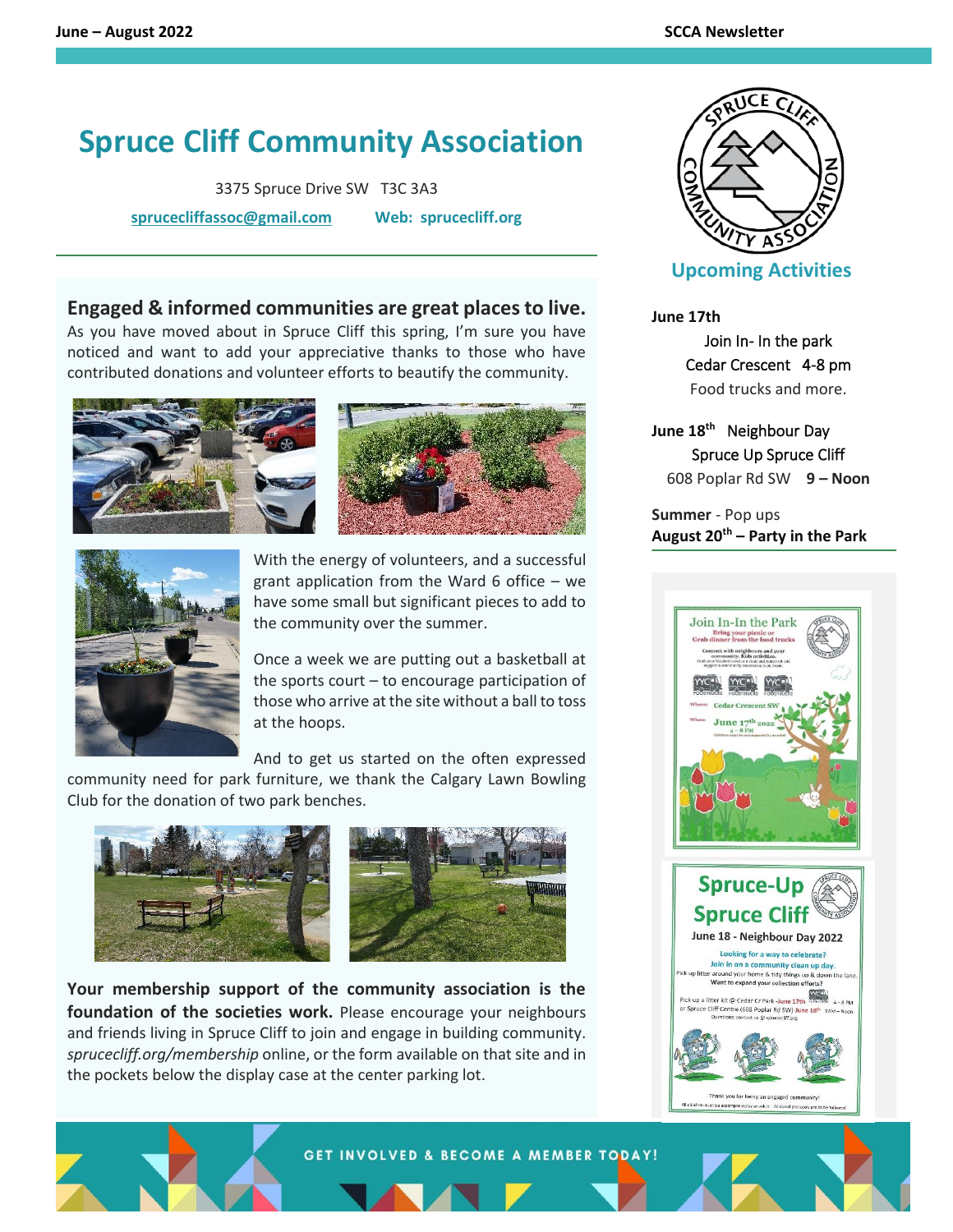## **Spruce Cliff Community Association**

3375 Spruce Drive SW T3C 3A3

**[sprucecliffassoc@gmail.com](mailto:sprucecliffassoc@gmail.com) Web: sprucecliff.org**

## **Engaged & informed communities are great places to live.**

As you have moved about in Spruce Cliff this spring, I'm sure you have noticed and want to add your appreciative thanks to those who have contributed donations and volunteer efforts to beautify the community.





With the energy of volunteers, and a successful grant application from the Ward 6 office – we have some small but significant pieces to add to the community over the summer.

Once a week we are putting out a basketball at the sports court – to encourage participation of those who arrive at the site without a ball to toss at the hoops.

And to get us started on the often expressed

community need for park furniture, we thank the Calgary Lawn Bowling Club for the donation of two park benches.



**Your membership support of the community association is the foundation of the societies work.** Please encourage your neighbours and friends living in Spruce Cliff to join and engage in building community. *sprucecliff.org/membership* online, or the form available on that site and in the pockets below the display case at the center parking lot.



## **Upcoming Activities**

**June 17th**

Join In- In the park Cedar Crescent 4-8 pm Food trucks and more.

**June 18 th** Neighbour Day Spruce Up Spruce Cliff 608 Poplar Rd SW **9 – Noon**

**Summer** - Pop ups **August 20th – Party in the Park**





L



GET INVOLVED & BECOME A MEMBER TODAY!